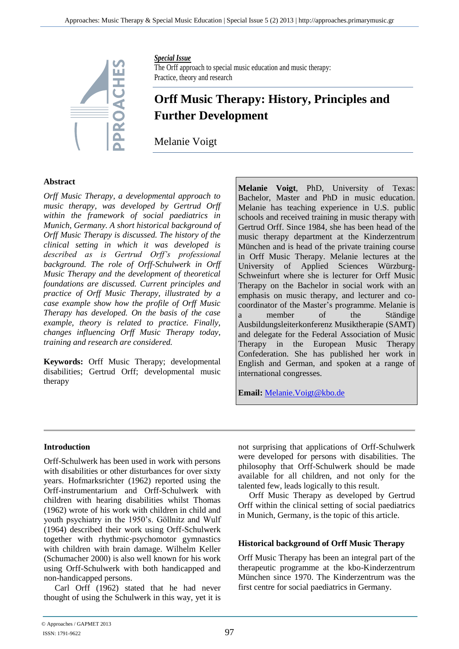

#### *Special Issue*

The Orff approach to special music education and music therapy: Practice, theory and research

# **Orff Music Therapy: History, Principles and Further Development**

Melanie Voigt

#### **Abstract**

*Orff Music Therapy, a developmental approach to music therapy, was developed by Gertrud Orff within the framework of social paediatrics in Munich, Germany. A short historical background of Orff Music Therapy is discussed. The history of the clinical setting in which it was developed is described as is Gertrud Orff's professional background. The role of Orff-Schulwerk in Orff Music Therapy and the development of theoretical foundations are discussed. Current principles and practice of Orff Music Therapy, illustrated by a case example show how the profile of Orff Music Therapy has developed. On the basis of the case example, theory is related to practice. Finally, changes influencing Orff Music Therapy today, training and research are considered.*

**Keywords:** Orff Music Therapy; developmental disabilities; Gertrud Orff; developmental music therapy

**Melanie Voigt**, PhD, University of Texas: Bachelor, Master and PhD in music education. Melanie has teaching experience in U.S. public schools and received training in music therapy with Gertrud Orff. Since 1984, she has been head of the music therapy department at the Kinderzentrum München and is head of the private training course in Orff Music Therapy. Melanie lectures at the University of Applied Sciences Würzburg-Schweinfurt where she is lecturer for Orff Music Therapy on the Bachelor in social work with an emphasis on music therapy, and lecturer and cocoordinator of the Master's programme. Melanie is a member of the Ständige Ausbildungsleiterkonferenz Musiktherapie (SAMT) and delegate for the Federal Association of Music Therapy in the European Music Therapy Confederation. She has published her work in English and German, and spoken at a range of international congresses.

**Email:** [Melanie.Voigt@kbo.de](mailto:Melanie.Voigt@kbo.de)

#### **Introduction**

Orff-Schulwerk has been used in work with persons with disabilities or other disturbances for over sixty years. Hofmarksrichter (1962) reported using the Orff-instrumentarium and Orff-Schulwerk with children with hearing disabilities whilst Thomas (1962) wrote of his work with children in child and youth psychiatry in the 1950's. Göllnitz and Wulf (1964) described their work using Orff-Schulwerk together with rhythmic-psychomotor gymnastics with children with brain damage. Wilhelm Keller (Schumacher 2000) is also well known for his work using Orff-Schulwerk with both handicapped and non-handicapped persons.

Carl Orff (1962) stated that he had never thought of using the Schulwerk in this way, yet it is not surprising that applications of Orff-Schulwerk were developed for persons with disabilities. The philosophy that Orff-Schulwerk should be made available for all children, and not only for the talented few, leads logically to this result.

Orff Music Therapy as developed by Gertrud Orff within the clinical setting of social paediatrics in Munich, Germany, is the topic of this article.

#### **Historical background of Orff Music Therapy**

Orff Music Therapy has been an integral part of the therapeutic programme at the kbo-Kinderzentrum München since 1970. The Kinderzentrum was the first centre for social paediatrics in Germany.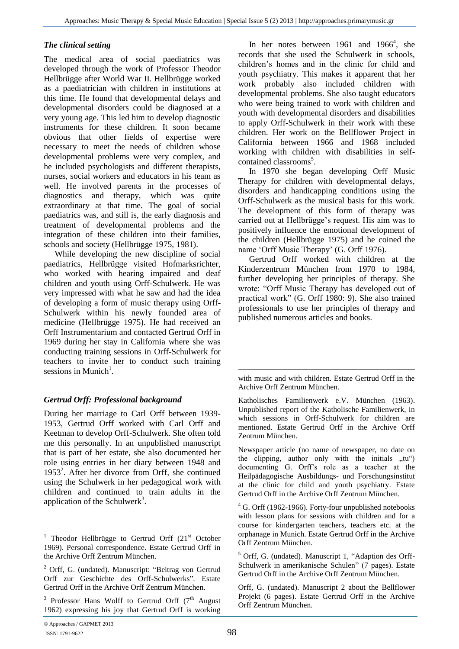#### *The clinical setting*

The medical area of social paediatrics was developed through the work of Professor Theodor Hellbrügge after World War II. Hellbrügge worked as a paediatrician with children in institutions at this time. He found that developmental delays and developmental disorders could be diagnosed at a very young age. This led him to develop diagnostic instruments for these children. It soon became obvious that other fields of expertise were necessary to meet the needs of children whose developmental problems were very complex, and he included psychologists and different therapists, nurses, social workers and educators in his team as well. He involved parents in the processes of diagnostics and therapy, which was quite extraordinary at that time. The goal of social paediatrics was, and still is, the early diagnosis and treatment of developmental problems and the integration of these children into their families, schools and society (Hellbrügge 1975, 1981).

While developing the new discipline of social paediatrics, Hellbrügge visited Hofmarksrichter, who worked with hearing impaired and deaf children and youth using Orff-Schulwerk. He was very impressed with what he saw and had the idea of developing a form of music therapy using Orff-Schulwerk within his newly founded area of medicine (Hellbrügge 1975). He had received an Orff Instrumentarium and contacted Gertrud Orff in 1969 during her stay in California where she was conducting training sessions in Orff-Schulwerk for teachers to invite her to conduct such training sessions in Munich<sup>1</sup>.

## *Gertrud Orff: Professional background*

During her marriage to Carl Orff between 1939- 1953, Gertrud Orff worked with Carl Orff and Keetman to develop Orff-Schulwerk. She often told me this personally. In an unpublished manuscript that is part of her estate, she also documented her role using entries in her diary between 1948 and 1953<sup>2</sup> . After her divorce from Orff, she continued using the Schulwerk in her pedagogical work with children and continued to train adults in the application of the Schulwerk<sup>3</sup>.

In her notes between  $1961$  and  $1966<sup>4</sup>$ , she records that she used the Schulwerk in schools, children's homes and in the clinic for child and youth psychiatry. This makes it apparent that her work probably also included children with developmental problems. She also taught educators who were being trained to work with children and youth with developmental disorders and disabilities to apply Orff-Schulwerk in their work with these children. Her work on the Bellflower Project in California between 1966 and 1968 included working with children with disabilities in selfcontained classrooms<sup>5</sup>.

In 1970 she began developing Orff Music Therapy for children with developmental delays, disorders and handicapping conditions using the Orff-Schulwerk as the musical basis for this work. The development of this form of therapy was carried out at Hellbrügge's request. His aim was to positively influence the emotional development of the children (Hellbrügge 1975) and he coined the name 'Orff Music Therapy' (G. Orff 1976).

Gertrud Orff worked with children at the Kinderzentrum München from 1970 to 1984, further developing her principles of therapy. She wrote: "Orff Music Therapy has developed out of practical work" (G. Orff 1980: 9). She also trained professionals to use her principles of therapy and published numerous articles and books.

with music and with children. Estate Gertrud Orff in the Archive Orff Zentrum München.

Katholisches Familienwerk e.V. München (1963). Unpublished report of the Katholische Familienwerk, in which sessions in Orff-Schulwerk for children are mentioned. Estate Gertrud Orff in the Archive Orff Zentrum München.

Newspaper article (no name of newspaper, no date on the clipping, author only with the initials  $, tu^{\prime\prime}$ documenting G. Orff's role as a teacher at the Heilpädagogische Ausbildungs- und Forschungsinstitut at the clinic for child and youth psychiatry. Estate Gertrud Orff in the Archive Orff Zentrum München.

 $4$  G. Orff (1962-1966). Forty-four unpublished notebooks with lesson plans for sessions with children and for a course for kindergarten teachers, teachers etc. at the orphanage in Munich. Estate Gertrud Orff in the Archive Orff Zentrum München.

 $\overline{a}$ 

<sup>&</sup>lt;sup>1</sup> Theodor Hellbrügge to Gertrud Orff  $(21<sup>st</sup>$  October 1969). Personal correspondence. Estate Gertrud Orff in the Archive Orff Zentrum München.

<sup>2</sup> Orff, G. (undated). Manuscript: "Beitrag von Gertrud Orff zur Geschichte des Orff-Schulwerks". Estate Gertrud Orff in the Archive Orff Zentrum München.

 $3$  Professor Hans Wolff to Gertrud Orff ( $7<sup>th</sup>$  August 1962) expressing his joy that Gertrud Orff is working

<sup>5</sup> Orff, G. (undated). Manuscript 1, "Adaption des Orff-Schulwerk in amerikanische Schulen" (7 pages). Estate Gertrud Orff in the Archive Orff Zentrum München.

Orff, G. (undated). Manuscript 2 about the Bellflower Projekt (6 pages). Estate Gertrud Orff in the Archive Orff Zentrum München.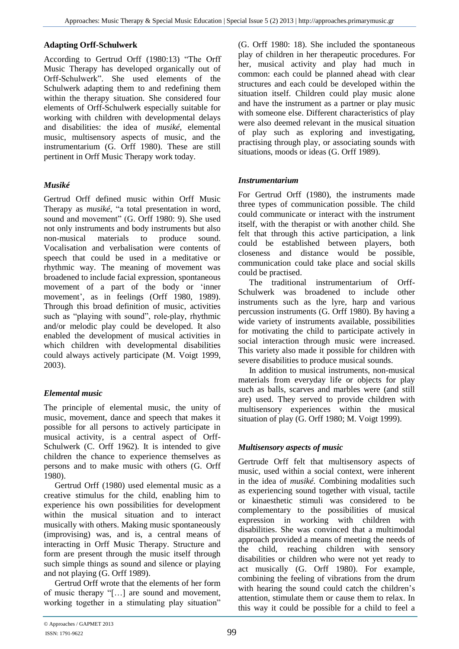#### **Adapting Orff-Schulwerk**

According to Gertrud Orff (1980:13) "The Orff Music Therapy has developed organically out of Orff-Schulwerk". She used elements of the Schulwerk adapting them to and redefining them within the therapy situation. She considered four elements of Orff-Schulwerk especially suitable for working with children with developmental delays and disabilities: the idea of *musiké*, elemental music, multisensory aspects of music, and the instrumentarium (G. Orff 1980). These are still pertinent in Orff Music Therapy work today.

## *Musiké*

Gertrud Orff defined music within Orff Music Therapy as *musiké*, "a total presentation in word, sound and movement" (G. Orff 1980: 9). She used not only instruments and body instruments but also non-musical materials to produce sound. Vocalisation and verbalisation were contents of speech that could be used in a meditative or rhythmic way. The meaning of movement was broadened to include facial expression, spontaneous movement of a part of the body or 'inner movement', as in feelings (Orff 1980, 1989). Through this broad definition of music, activities such as "playing with sound", role-play, rhythmic and/or melodic play could be developed. It also enabled the development of musical activities in which children with developmental disabilities could always actively participate (M. Voigt 1999, 2003).

## *Elemental music*

The principle of elemental music, the unity of music, movement, dance and speech that makes it possible for all persons to actively participate in musical activity, is a central aspect of Orff-Schulwerk (C. Orff 1962). It is intended to give children the chance to experience themselves as persons and to make music with others (G. Orff 1980).

Gertrud Orff (1980) used elemental music as a creative stimulus for the child, enabling him to experience his own possibilities for development within the musical situation and to interact musically with others. Making music spontaneously (improvising) was, and is, a central means of interacting in Orff Music Therapy. Structure and form are present through the music itself through such simple things as sound and silence or playing and not playing (G. Orff 1989).

Gertrud Orff wrote that the elements of her form of music therapy "[…] are sound and movement, working together in a stimulating play situation"

(G. Orff 1980: 18). She included the spontaneous play of children in her therapeutic procedures. For her, musical activity and play had much in common: each could be planned ahead with clear structures and each could be developed within the situation itself. Children could play music alone and have the instrument as a partner or play music with someone else. Different characteristics of play were also deemed relevant in the musical situation of play such as exploring and investigating, practising through play, or associating sounds with situations, moods or ideas (G. Orff 1989).

## *Instrumentarium*

For Gertrud Orff (1980), the instruments made three types of communication possible. The child could communicate or interact with the instrument itself, with the therapist or with another child. She felt that through this active participation, a link could be established between players, both closeness and distance would be possible, communication could take place and social skills could be practised.

The traditional instrumentarium of Orff-Schulwerk was broadened to include other instruments such as the lyre, harp and various percussion instruments (G. Orff 1980). By having a wide variety of instruments available, possibilities for motivating the child to participate actively in social interaction through music were increased. This variety also made it possible for children with severe disabilities to produce musical sounds.

In addition to musical instruments, non-musical materials from everyday life or objects for play such as balls, scarves and marbles were (and still are) used. They served to provide children with multisensory experiences within the musical situation of play (G. Orff 1980; M. Voigt 1999).

## *Multisensory aspects of music*

Gertrude Orff felt that multisensory aspects of music, used within a social context, were inherent in the idea of *musiké.* Combining modalities such as experiencing sound together with visual, tactile or kinaesthetic stimuli was considered to be complementary to the possibilities of musical expression in working with children with disabilities. She was convinced that a multimodal approach provided a means of meeting the needs of the child, reaching children with sensory disabilities or children who were not yet ready to act musically (G. Orff 1980). For example, combining the feeling of vibrations from the drum with hearing the sound could catch the children's attention, stimulate them or cause them to relax. In this way it could be possible for a child to feel a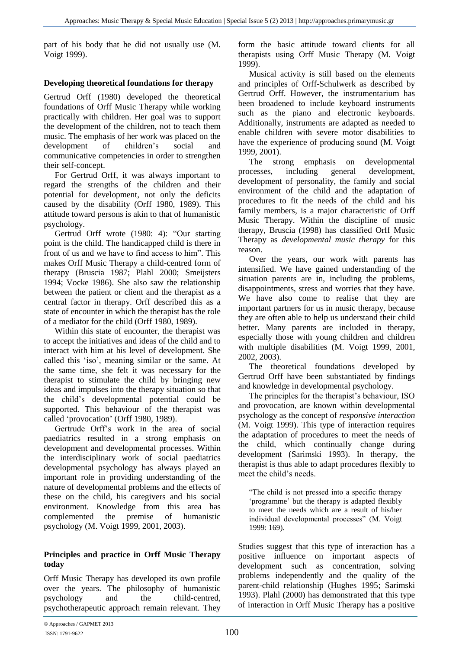part of his body that he did not usually use (M. Voigt 1999).

#### **Developing theoretical foundations for therapy**

Gertrud Orff (1980) developed the theoretical foundations of Orff Music Therapy while working practically with children. Her goal was to support the development of the children, not to teach them music. The emphasis of her work was placed on the development of children's social and communicative competencies in order to strengthen their self-concept.

For Gertrud Orff, it was always important to regard the strengths of the children and their potential for development, not only the deficits caused by the disability (Orff 1980, 1989). This attitude toward persons is akin to that of humanistic psychology.

Gertrud Orff wrote (1980: 4): "Our starting point is the child. The handicapped child is there in front of us and we have to find access to him". This makes Orff Music Therapy a child-centred form of therapy (Bruscia 1987; Plahl 2000; Smeijsters 1994; Vocke 1986). She also saw the relationship between the patient or client and the therapist as a central factor in therapy. Orff described this as a state of encounter in which the therapist has the role of a mediator for the child (Orff 1980, 1989).

Within this state of encounter, the therapist was to accept the initiatives and ideas of the child and to interact with him at his level of development. She called this 'iso', meaning similar or the same. At the same time, she felt it was necessary for the therapist to stimulate the child by bringing new ideas and impulses into the therapy situation so that the child's developmental potential could be supported. This behaviour of the therapist was called 'provocation' (Orff 1980, 1989).

Gertrude Orff's work in the area of social paediatrics resulted in a strong emphasis on development and developmental processes. Within the interdisciplinary work of social paediatrics developmental psychology has always played an important role in providing understanding of the nature of developmental problems and the effects of these on the child, his caregivers and his social environment. Knowledge from this area has complemented the premise of humanistic psychology (M. Voigt 1999, 2001, 2003).

#### **Principles and practice in Orff Music Therapy today**

Orff Music Therapy has developed its own profile over the years. The philosophy of humanistic psychology and the child-centred, psychotherapeutic approach remain relevant. They

form the basic attitude toward clients for all therapists using Orff Music Therapy (M. Voigt 1999).

Musical activity is still based on the elements and principles of Orff-Schulwerk as described by Gertrud Orff. However, the instrumentarium has been broadened to include keyboard instruments such as the piano and electronic keyboards. Additionally, instruments are adapted as needed to enable children with severe motor disabilities to have the experience of producing sound (M. Voigt 1999, 2001).

The strong emphasis on developmental processes, including general development, development of personality, the family and social environment of the child and the adaptation of procedures to fit the needs of the child and his family members, is a major characteristic of Orff Music Therapy. Within the discipline of music therapy, Bruscia (1998) has classified Orff Music Therapy as *developmental music therapy* for this reason.

Over the years, our work with parents has intensified. We have gained understanding of the situation parents are in, including the problems, disappointments, stress and worries that they have. We have also come to realise that they are important partners for us in music therapy, because they are often able to help us understand their child better. Many parents are included in therapy, especially those with young children and children with multiple disabilities (M. Voigt 1999, 2001, 2002, 2003).

The theoretical foundations developed by Gertrud Orff have been substantiated by findings and knowledge in developmental psychology.

The principles for the therapist's behaviour, ISO and provocation, are known within developmental psychology as the concept of *responsive interaction* (M. Voigt 1999). This type of interaction requires the adaptation of procedures to meet the needs of the child, which continually change during development (Sarimski 1993). In therapy, the therapist is thus able to adapt procedures flexibly to meet the child's needs.

"The child is not pressed into a specific therapy 'programme' but the therapy is adapted flexibly to meet the needs which are a result of his/her individual developmental processes" (M. Voigt 1999: 169).

Studies suggest that this type of interaction has a positive influence on important aspects of development such as concentration, solving problems independently and the quality of the parent-child relationship (Hughes 1995; Sarimski 1993). Plahl (2000) has demonstrated that this type of interaction in Orff Music Therapy has a positive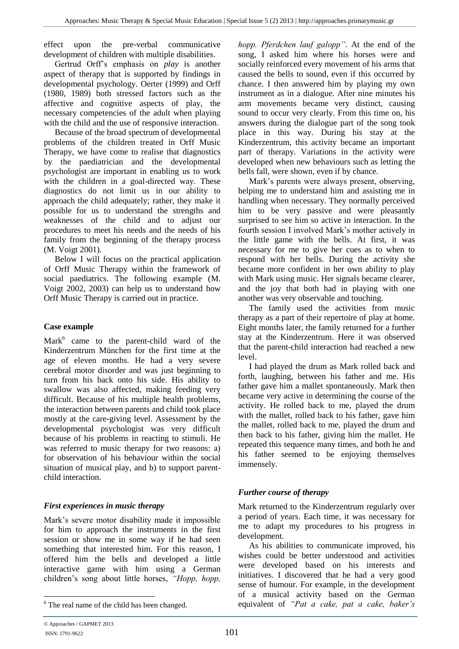effect upon the pre-verbal communicative development of children with multiple disabilities.

Gertrud Orff's emphasis on *play* is another aspect of therapy that is supported by findings in developmental psychology. Oerter (1999) and Orff (1980, 1989) both stressed factors such as the affective and cognitive aspects of play, the necessary competencies of the adult when playing with the child and the use of responsive interaction.

Because of the broad spectrum of developmental problems of the children treated in Orff Music Therapy, we have come to realise that diagnostics by the paediatrician and the developmental psychologist are important in enabling us to work with the children in a goal-directed way. These diagnostics do not limit us in our ability to approach the child adequately; rather, they make it possible for us to understand the strengths and weaknesses of the child and to adjust our procedures to meet his needs and the needs of his family from the beginning of the therapy process (M. Voigt 2001).

Below I will focus on the practical application of Orff Music Therapy within the framework of social paediatrics. The following example (M. Voigt 2002, 2003) can help us to understand how Orff Music Therapy is carried out in practice.

### **Case example**

Mark<sup>6</sup> came to the parent-child ward of the Kinderzentrum München for the first time at the age of eleven months. He had a very severe cerebral motor disorder and was just beginning to turn from his back onto his side. His ability to swallow was also affected, making feeding very difficult. Because of his multiple health problems, the interaction between parents and child took place mostly at the care-giving level. Assessment by the developmental psychologist was very difficult because of his problems in reacting to stimuli. He was referred to music therapy for two reasons: a) for observation of his behaviour within the social situation of musical play, and b) to support parentchild interaction.

## *First experiences in music therapy*

Mark's severe motor disability made it impossible for him to approach the instruments in the first session or show me in some way if he had seen something that interested him. For this reason, I offered him the bells and developed a little interactive game with him using a German children's song about little horses, *"Hopp, hopp,* 

<sup>6</sup> The real name of the child has been changed.

*hopp. Pferdchen lauf galopp"*. At the end of the song, I asked him where his horses were and socially reinforced every movement of his arms that caused the bells to sound, even if this occurred by chance. I then answered him by playing my own instrument as in a dialogue. After nine minutes his arm movements became very distinct, causing sound to occur very clearly. From this time on, his answers during the dialogue part of the song took place in this way. During his stay at the Kinderzentrum, this activity became an important part of therapy. Variations in the activity were developed when new behaviours such as letting the bells fall, were shown, even if by chance.

Mark's parents were always present, observing, helping me to understand him and assisting me in handling when necessary. They normally perceived him to be very passive and were pleasantly surprised to see him so active in interaction. In the fourth session I involved Mark's mother actively in the little game with the bells. At first, it was necessary for me to give her cues as to when to respond with her bells. During the activity she became more confident in her own ability to play with Mark using music. Her signals became clearer, and the joy that both had in playing with one another was very observable and touching.

The family used the activities from music therapy as a part of their repertoire of play at home. Eight months later, the family returned for a further stay at the Kinderzentrum. Here it was observed that the parent-child interaction had reached a new level.

I had played the drum as Mark rolled back and forth, laughing, between his father and me. His father gave him a mallet spontaneously. Mark then became very active in determining the course of the activity. He rolled back to me, played the drum with the mallet, rolled back to his father, gave him the mallet, rolled back to me, played the drum and then back to his father, giving him the mallet. He repeated this sequence many times, and both he and his father seemed to be enjoying themselves immensely.

## *Further course of therapy*

Mark returned to the Kinderzentrum regularly over a period of years. Each time, it was necessary for me to adapt my procedures to his progress in development.

As his abilities to communicate improved, his wishes could be better understood and activities were developed based on his interests and initiatives. I discovered that he had a very good sense of humour. For example, in the development of a musical activity based on the German equivalent of *"Pat a cake, pat a cake, baker's* 

 $\overline{a}$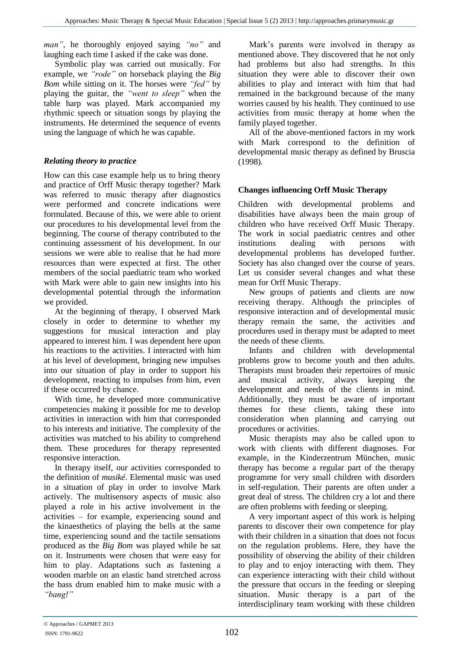*man"*, he thoroughly enjoyed saying *"no"* and laughing each time I asked if the cake was done.

#### Symbolic play was carried out musically. For example, we *"rode"* on horseback playing the *Big Bom* while sitting on it. The horses were *"fed"* by playing the guitar, the *"went to sleep"* when the table harp was played. Mark accompanied my rhythmic speech or situation songs by playing the instruments. He determined the sequence of events using the language of which he was capable.

## *Relating theory to practice*

How can this case example help us to bring theory and practice of Orff Music therapy together? Mark was referred to music therapy after diagnostics were performed and concrete indications were formulated. Because of this, we were able to orient our procedures to his developmental level from the beginning. The course of therapy contributed to the continuing assessment of his development. In our sessions we were able to realise that he had more resources than were expected at first. The other members of the social paediatric team who worked with Mark were able to gain new insights into his developmental potential through the information we provided.

At the beginning of therapy, I observed Mark closely in order to determine to whether my suggestions for musical interaction and play appeared to interest him. I was dependent here upon his reactions to the activities. I interacted with him at his level of development, bringing new impulses into our situation of play in order to support his development, reacting to impulses from him, even if these occurred by chance.

With time, he developed more communicative competencies making it possible for me to develop activities in interaction with him that corresponded to his interests and initiative. The complexity of the activities was matched to his ability to comprehend them. These procedures for therapy represented responsive interaction.

In therapy itself, our activities corresponded to the definition of *musiké*. Elemental music was used in a situation of play in order to involve Mark actively. The multisensory aspects of music also played a role in his active involvement in the activities – for example, experiencing sound and the kinaesthetics of playing the bells at the same time, experiencing sound and the tactile sensations produced as the *Big Bom* was played while he sat on it. Instruments were chosen that were easy for him to play. Adaptations such as fastening a wooden marble on an elastic band stretched across the bass drum enabled him to make music with a *"bang!"*

Mark's parents were involved in therapy as mentioned above. They discovered that he not only had problems but also had strengths. In this situation they were able to discover their own abilities to play and interact with him that had remained in the background because of the many worries caused by his health. They continued to use activities from music therapy at home when the family played together.

All of the above-mentioned factors in my work with Mark correspond to the definition of developmental music therapy as defined by Bruscia (1998).

## **Changes influencing Orff Music Therapy**

Children with developmental problems and disabilities have always been the main group of children who have received Orff Music Therapy. The work in social paediatric centres and other institutions dealing with persons with developmental problems has developed further. Society has also changed over the course of years. Let us consider several changes and what these mean for Orff Music Therapy.

New groups of patients and clients are now receiving therapy. Although the principles of responsive interaction and of developmental music therapy remain the same, the activities and procedures used in therapy must be adapted to meet the needs of these clients.

Infants and children with developmental problems grow to become youth and then adults. Therapists must broaden their repertoires of music and musical activity, always keeping the development and needs of the clients in mind. Additionally, they must be aware of important themes for these clients, taking these into consideration when planning and carrying out procedures or activities.

Music therapists may also be called upon to work with clients with different diagnoses. For example, in the Kinderzentrum München, music therapy has become a regular part of the therapy programme for very small children with disorders in self-regulation. Their parents are often under a great deal of stress. The children cry a lot and there are often problems with feeding or sleeping.

A very important aspect of this work is helping parents to discover their own competence for play with their children in a situation that does not focus on the regulation problems. Here, they have the possibility of observing the ability of their children to play and to enjoy interacting with them. They can experience interacting with their child without the pressure that occurs in the feeding or sleeping situation. Music therapy is a part of the interdisciplinary team working with these children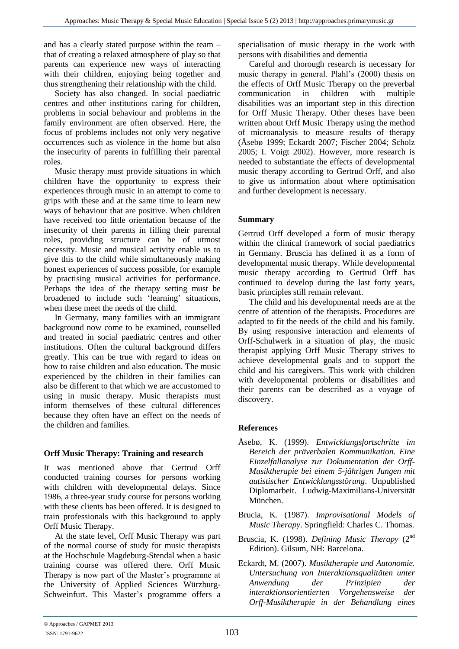and has a clearly stated purpose within the team – that of creating a relaxed atmosphere of play so that parents can experience new ways of interacting with their children, enjoying being together and thus strengthening their relationship with the child.

Society has also changed. In social paediatric centres and other institutions caring for children, problems in social behaviour and problems in the family environment are often observed. Here, the focus of problems includes not only very negative occurrences such as violence in the home but also the insecurity of parents in fulfilling their parental roles.

Music therapy must provide situations in which children have the opportunity to express their experiences through music in an attempt to come to grips with these and at the same time to learn new ways of behaviour that are positive. When children have received too little orientation because of the insecurity of their parents in filling their parental roles, providing structure can be of utmost necessity. Music and musical activity enable us to give this to the child while simultaneously making honest experiences of success possible, for example by practising musical activities for performance. Perhaps the idea of the therapy setting must be broadened to include such 'learning' situations, when these meet the needs of the child.

In Germany, many families with an immigrant background now come to be examined, counselled and treated in social paediatric centres and other institutions. Often the cultural background differs greatly. This can be true with regard to ideas on how to raise children and also education. The music experienced by the children in their families can also be different to that which we are accustomed to using in music therapy. Music therapists must inform themselves of these cultural differences because they often have an effect on the needs of the children and families.

## **Orff Music Therapy: Training and research**

It was mentioned above that Gertrud Orff conducted training courses for persons working with children with developmental delays. Since 1986, a three-year study course for persons working with these clients has been offered. It is designed to train professionals with this background to apply Orff Music Therapy.

At the state level, Orff Music Therapy was part of the normal course of study for music therapists at the Hochschule Magdeburg-Stendal when a basic training course was offered there. Orff Music Therapy is now part of the Master's programme at the University of Applied Sciences Würzburg-Schweinfurt. This Master's programme offers a specialisation of music therapy in the work with persons with disabilities and dementia

Careful and thorough research is necessary for music therapy in general. Plahl's (2000) thesis on the effects of Orff Music Therapy on the preverbal communication in children with multiple disabilities was an important step in this direction for Orff Music Therapy. Other theses have been written about Orff Music Therapy using the method of microanalysis to measure results of therapy (Åsebø 1999; Eckardt 2007; Fischer 2004; Scholz 2005; I. Voigt 2002). However, more research is needed to substantiate the effects of developmental music therapy according to Gertrud Orff, and also to give us information about where optimisation and further development is necessary.

## **Summary**

Gertrud Orff developed a form of music therapy within the clinical framework of social paediatrics in Germany. Bruscia has defined it as a form of developmental music therapy. While developmental music therapy according to Gertrud Orff has continued to develop during the last forty years, basic principles still remain relevant.

The child and his developmental needs are at the centre of attention of the therapists. Procedures are adapted to fit the needs of the child and his family. By using responsive interaction and elements of Orff-Schulwerk in a situation of play, the music therapist applying Orff Music Therapy strives to achieve developmental goals and to support the child and his caregivers. This work with children with developmental problems or disabilities and their parents can be described as a voyage of discovery.

## **References**

- Åsebø, K. (1999). *Entwicklungsfortschritte im Bereich der präverbalen Kommunikation. Eine Einzelfallanalyse zur Dokumentation der Orff-Musiktherapie bei einem 5-jährigen Jungen mit autistischer Entwicklungsstörung*. Unpublished Diplomarbeit. Ludwig-Maximilians-Universität München.
- Brucia, K. (1987). *Improvisational Models of Music Therapy*. Springfield: Charles C. Thomas.
- Bruscia, K. (1998). *Defining Music Therapy* (2<sup>nd</sup>) Edition). Gilsum, NH: Barcelona.
- Eckardt, M. (2007). *Musiktherapie und Autonomie. Untersuchung von Interaktionsqualitäten unter Anwendung der Prinzipien der interaktionsorientierten Vorgehensweise der Orff-Musiktherapie in der Behandlung eines*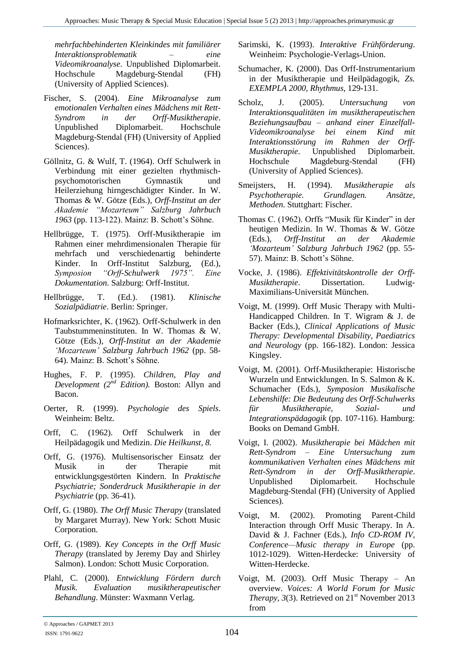*mehrfachbehinderten Kleinkindes mit familiärer Interaktionsproblematik – eine Videomikroanalyse*. Unpublished Diplomarbeit. Hochschule Magdeburg-Stendal (FH) (University of Applied Sciences).

- Fischer, S. (2004). *Eine Mikroanalyse zum emotionalen Verhalten eines Mädchens mit Rett-Syndrom in der Orff-Musiktherapie*. Unpublished Diplomarbeit. Hochschule Magdeburg-Stendal (FH) (University of Applied Sciences).
- Göllnitz, G. & Wulf, T. (1964). Orff Schulwerk in Verbindung mit einer gezielten rhythmischpsychomotorischen Gymnastik und Heilerziehung hirngeschädigter Kinder. In W. Thomas & W. Götze (Eds.), *Orff-Institut an der Akademie "Mozarteum" Salzburg Jahrbuch 1963* (pp. 113-122). Mainz: B. Schott's Söhne.
- Hellbrügge, T. (1975). Orff-Musiktherapie im Rahmen einer mehrdimensionalen Therapie für mehrfach und verschiedenartig behinderte Kinder. In Orff-Institut Salzburg, (Ed.),<br>Symposion "Orff-Schulwerk 1975". Eine *Symposion "Orff-Schulwerk 1975". Eine Dokumentation.* Salzburg: Orff-Institut.
- Hellbrügge, T. (Ed.). (1981). *Klinische Sozialpädiatrie*. Berlin: Springer.
- Hofmarksrichter, K. (1962). Orff-Schulwerk in den Taubstummeninstituten. In W. Thomas & W. Götze (Eds.), *Orff-Institut an der Akademie 'Mozarteum' Salzburg Jahrbuch 1962* (pp. 58- 64). Mainz: B. Schott's Söhne.
- Hughes, F. P. (1995). *Children, Play and Development (2nd Edition).* Boston: Allyn and Bacon.
- Oerter, R. (1999). *Psychologie des Spiels*. Weinheim: Beltz.
- Orff, C. (1962). Orff Schulwerk in der Heilpädagogik und Medizin. *Die Heilkunst, 8.*
- Orff, G. (1976). Multisensorischer Einsatz der Musik in der Therapie mit entwicklungsgestörten Kindern. In *Praktische Psychiatrie; Sonderdruck Musiktherapie in der Psychiatrie* (pp. 36-41).
- Orff, G. (1980). *The Orff Music Therapy* (translated by Margaret Murray). New York: Schott Music Corporation.
- Orff, G. (1989). *Key Concepts in the Orff Music Therapy* (translated by Jeremy Day and Shirley Salmon). London: Schott Music Corporation.
- Plahl, C. (2000). *Entwicklung Fördern durch Musik. Evaluation musiktherapeutischer Behandlung*. Münster: Waxmann Verlag.
- Sarimski, K. (1993). *Interaktive Frühförderung*. Weinheim: Psychologie-Verlags-Union.
- Schumacher, K. (2000). Das Orff-Instrumentarium in der Musiktherapie und Heilpädagogik, *Zs. EXEMPLA 2000, Rhythmus*, 129-131.
- Scholz, J. (2005). *Untersuchung von Interaktionsqualitäten im musiktherapeutischen Beziehungsaufbau – anhand einer Einzelfall-Videomikroanalyse bei einem Kind mit Interaktionsstörung im Rahmen der Orff-Musiktherapie*. Unpublished Diplomarbeit. Hochschule Magdeburg-Stendal (FH) (University of Applied Sciences).
- Smeijsters, H. (1994). *Musiktherapie als Psychotherapie. Grundlagen. Ansätze, Methoden*. Stuttghart: Fischer.
- Thomas C. (1962). Orffs "Musik für Kinder" in der heutigen Medizin. In W. Thomas & W. Götze (Eds.), *Orff-Institut an der Akademie 'Mozarteum' Salzburg Jahrbuch 1962* (pp. 55- 57). Mainz: B. Schott's Söhne.
- Vocke, J. (1986). *Effektivitätskontrolle der Orff-* $Musiktherapie.$ Maximilians-Universität München.
- Voigt, M. (1999). Orff Music Therapy with Multi-Handicapped Children. In T. Wigram & J. de Backer (Eds.), *Clinical Applications of Music Therapy: Developmental Disability, Paediatrics and Neurology* (pp. 166-182). London: Jessica Kingsley.
- Voigt, M. (2001). Orff-Musiktherapie: Historische Wurzeln und Entwicklungen. In S. Salmon & K. Schumacher (Eds.), *Symposion Musikalische Lebenshilfe: Die Bedeutung des Orff-Schulwerks für Musiktherapie, Sozial- und Integrationspädagogik* (pp. 107-116). Hamburg: Books on Demand GmbH.
- Voigt, I. (2002). *Musiktherapie bei Mädchen mit Rett-Syndrom – Eine Untersuchung zum kommunikativen Verhalten eines Mädchens mit Rett-Syndrom in der Orff-Musiktherapie*. Unpublished Diplomarbeit. Hochschule Magdeburg-Stendal (FH) (University of Applied Sciences).
- Voigt, M. (2002). Promoting Parent-Child Interaction through Orff Music Therapy. In A. David & J. Fachner (Eds.), *Info CD-ROM IV, Conference—Music therapy in Europe* (pp. 1012-1029). Witten-Herdecke: University of Witten-Herdecke.
- Voigt, M. (2003). Orff Music Therapy An overview. *Voices: A World Forum for Music Therapy, 3*(3). Retrieved on  $21<sup>st</sup>$  November 2013 from